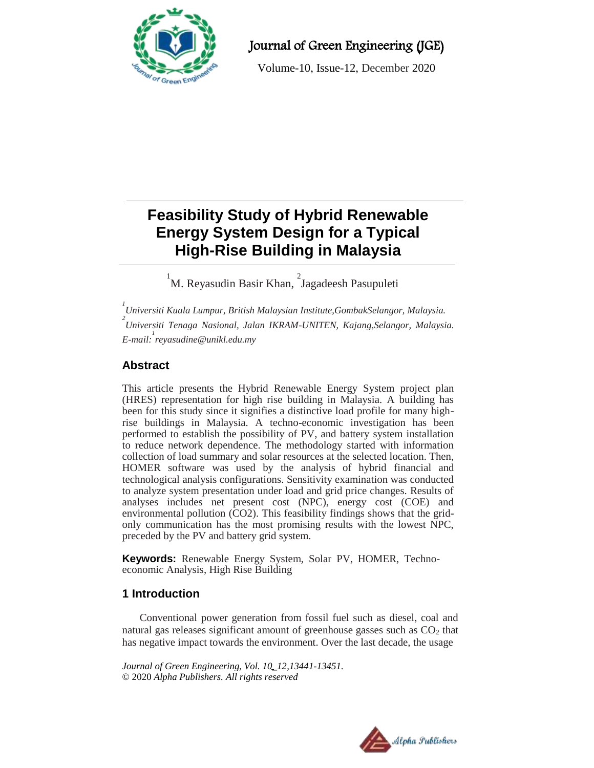

Journal of Green Engineering (JGE)

Volume-10, Issue-12, December 2020

# **Feasibility Study of Hybrid Renewable Energy System Design for a Typical High-Rise Building in Malaysia**  $\overline{a}$

<sup>1</sup>M. Reyasudin Basir Khan, <sup>2</sup>Jagadeesh Pasupuleti

*1 Universiti Kuala Lumpur, British Malaysian Institute,GombakSelangor, Malaysia.* <sup>2</sup><br>Universiti Tenaga Nasional, Jalan IKRAM-UNITEN, Kajang,Selangor, Malaysia. *E-mail: 1 reyasudine@unikl.edu.my*

# **Abstract**

This article presents the Hybrid Renewable Energy System project plan (HRES) representation for high rise building in Malaysia. A building has been for this study since it signifies a distinctive load profile for many highrise buildings in Malaysia. A techno-economic investigation has been performed to establish the possibility of PV, and battery system installation to reduce network dependence. The methodology started with information collection of load summary and solar resources at the selected location. Then, HOMER software was used by the analysis of hybrid financial and technological analysis configurations. Sensitivity examination was conducted to analyze system presentation under load and grid price changes. Results of analyses includes net present cost (NPC), energy cost (COE) and environmental pollution (CO2). This feasibility findings shows that the gridonly communication has the most promising results with the lowest NPC, preceded by the PV and battery grid system.

**Keywords:** Renewable Energy System, Solar PV, HOMER, Technoeconomic Analysis, High Rise Building

## **1 Introduction**

Conventional power generation from fossil fuel such as diesel, coal and natural gas releases significant amount of greenhouse gasses such as  $CO<sub>2</sub>$  that has negative impact towards the environment. Over the last decade, the usage

*Journal of Green Engineering, Vol. 10\_12,13441-13451.* © 2020 *Alpha Publishers. All rights reserved*

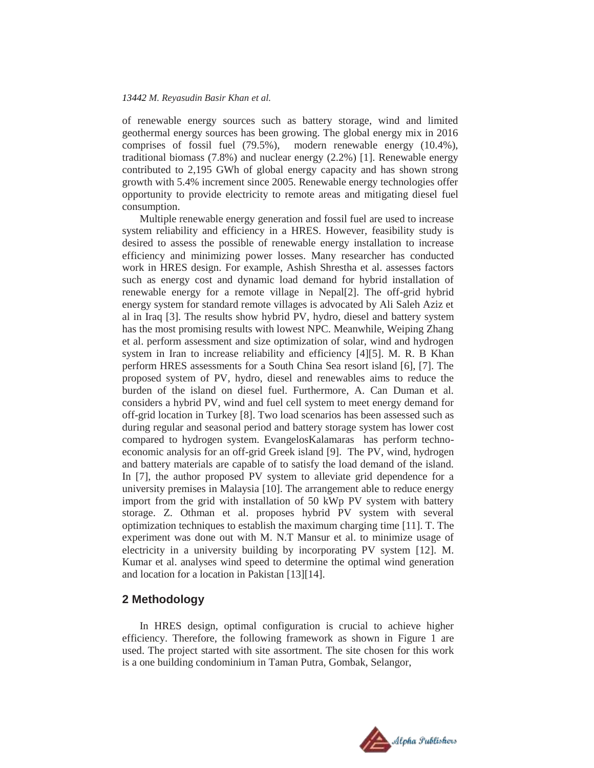#### *13442 M. Reyasudin Basir Khan et al.*

of renewable energy sources such as battery storage, wind and limited geothermal energy sources has been growing. The global energy mix in 2016 comprises of fossil fuel (79.5%), modern renewable energy (10.4%), traditional biomass (7.8%) and nuclear energy (2.2%) [1]. Renewable energy contributed to 2,195 GWh of global energy capacity and has shown strong growth with 5.4% increment since 2005. Renewable energy technologies offer opportunity to provide electricity to remote areas and mitigating diesel fuel consumption.

Multiple renewable energy generation and fossil fuel are used to increase system reliability and efficiency in a HRES. However, feasibility study is desired to assess the possible of renewable energy installation to increase efficiency and minimizing power losses. Many researcher has conducted work in HRES design. For example, Ashish Shrestha et al. assesses factors such as energy cost and dynamic load demand for hybrid installation of renewable energy for a remote village in Nepal[2]. The off-grid hybrid energy system for standard remote villages is advocated by Ali Saleh Aziz et al in Iraq [3]. The results show hybrid PV, hydro, diesel and battery system has the most promising results with lowest NPC. Meanwhile, Weiping Zhang et al. perform assessment and size optimization of solar, wind and hydrogen system in Iran to increase reliability and efficiency [4][5]. M. R. B Khan perform HRES assessments for a South China Sea resort island [6], [7]. The proposed system of PV, hydro, diesel and renewables aims to reduce the burden of the island on diesel fuel. Furthermore, A. Can Duman et al. considers a hybrid PV, wind and fuel cell system to meet energy demand for off-grid location in Turkey [8]. Two load scenarios has been assessed such as during regular and seasonal period and battery storage system has lower cost compared to hydrogen system. EvangelosKalamaras has perform technoeconomic analysis for an off-grid Greek island [9]. The PV, wind, hydrogen and battery materials are capable of to satisfy the load demand of the island. In [7], the author proposed PV system to alleviate grid dependence for a university premises in Malaysia [10]. The arrangement able to reduce energy import from the grid with installation of 50 kWp PV system with battery storage. Z. Othman et al. proposes hybrid PV system with several optimization techniques to establish the maximum charging time [11]. T. The experiment was done out with M. N.T Mansur et al. to minimize usage of electricity in a university building by incorporating PV system [12]. M. Kumar et al. analyses wind speed to determine the optimal wind generation and location for a location in Pakistan [13][14].

### **2 Methodology**

In HRES design, optimal configuration is crucial to achieve higher efficiency. Therefore, the following framework as shown in [Figure 1](#page-2-0) are used. The project started with site assortment. The site chosen for this work is a one building condominium in Taman Putra, Gombak, Selangor,

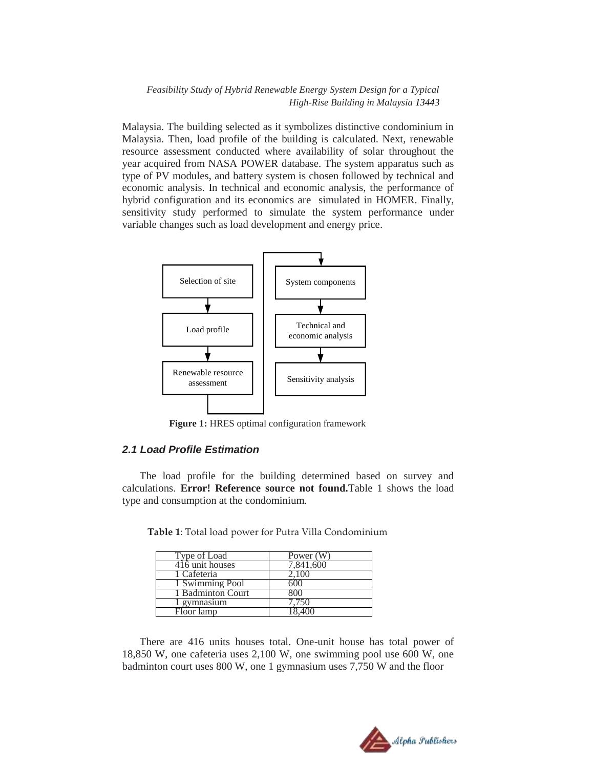Malaysia. The building selected as it symbolizes distinctive condominium in Malaysia. Then, load profile of the building is calculated. Next, renewable resource assessment conducted where availability of solar throughout the year acquired from NASA POWER database. The system apparatus such as type of PV modules, and battery system is chosen followed by technical and economic analysis. In technical and economic analysis, the performance of hybrid configuration and its economics are simulated in HOMER. Finally, sensitivity study performed to simulate the system performance under variable changes such as load development and energy price.



**Figure 1:** HRES optimal configuration framework

### <span id="page-2-0"></span>*2.1 Load Profile Estimation*

<span id="page-2-1"></span>The load profile for the building determined based on survey and calculations. **Error! Reference source not found.**[Table 1](#page-2-1) shows the load type and consumption at the condominium.

| Type of Load      | Power (W) |
|-------------------|-----------|
| 416 unit houses   | 7.841.600 |
| 1 Cafeteria       | 2.100     |
| 1 Swimming Pool   |           |
| 1 Badminton Court |           |
| gymnasium         | 4.750     |
| Floor lamp        |           |

**Table 1**: Total load power for Putra Villa Condominium

There are 416 units houses total. One-unit house has total power of 18,850 W, one cafeteria uses 2,100 W, one swimming pool use 600 W, one badminton court uses 800 W, one 1 gymnasium uses 7,750 W and the floor

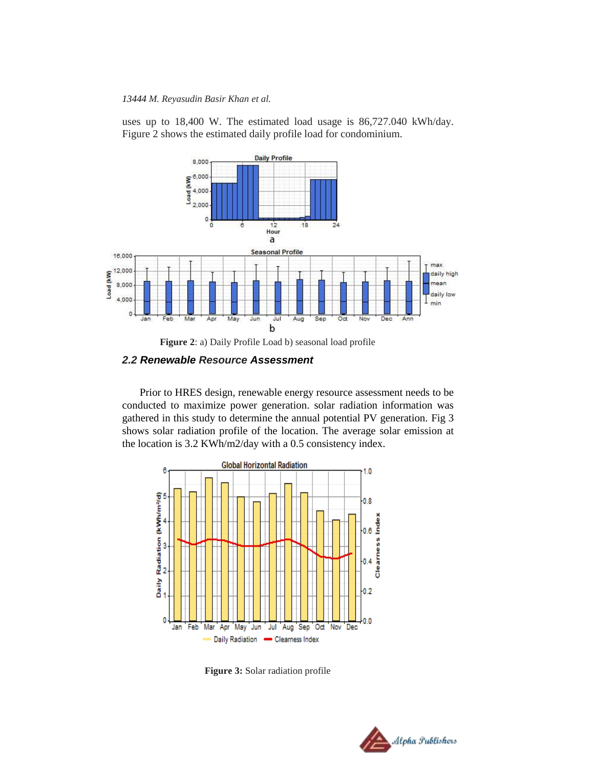#### *13444 M. Reyasudin Basir Khan et al.*

uses up to 18,400 W. The estimated load usage is 86,727.040 kWh/day. [Figure 2](#page-3-0) shows the estimated daily profile load for condominium.



**Figure 2**: a) Daily Profile Load b) seasonal load profile

### <span id="page-3-0"></span>*2.2 Renewable Resource Assessment*

Prior to HRES design, renewable energy resource assessment needs to be conducted to maximize power generation. solar radiation information was gathered in this study to determine the annual potential PV generation. Fig 3 shows solar radiation profile of the location. The average solar emission at the location is 3.2 KWh/m2/day with a 0.5 consistency index.



**Figure 3:** Solar radiation profile

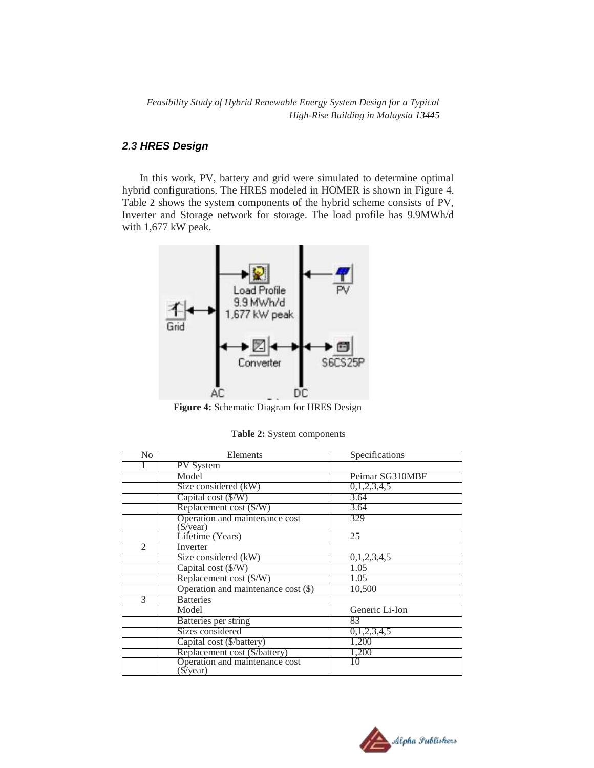## *2.3 HRES Design*

In this work, PV, battery and grid were simulated to determine optimal hybrid configurations. The HRES modeled in HOMER is shown in [Figure 4.](#page-4-0) [Table](#page-4-1) **2** shows the system components of the hybrid scheme consists of PV, Inverter and Storage network for storage. The load profile has 9.9MWh/d with 1,677 kW peak.



**Figure 4:** Schematic Diagram for HRES Design

 **Table 2:** System components

<span id="page-4-1"></span><span id="page-4-0"></span>

| No             | Elements                                    | Specifications  |  |  |
|----------------|---------------------------------------------|-----------------|--|--|
|                | <b>PV</b> System                            |                 |  |  |
|                | Model                                       | Peimar SG310MBF |  |  |
|                | Size considered (kW)                        | 0,1,2,3,4,5     |  |  |
|                | Capital cost (\$/W)                         | 3.64            |  |  |
|                | Replacement cost (\$/W)                     | 3.64            |  |  |
|                | Operation and maintenance cost              | 329             |  |  |
|                | $\sqrt{\$}/year)$                           |                 |  |  |
|                | Lifetime (Years)                            | 25              |  |  |
| $\overline{2}$ | Inverter                                    |                 |  |  |
|                | Size considered (kW)                        | 0,1,2,3,4,5     |  |  |
|                | Capital cost $(\frac{C}{W})$                | 1.05            |  |  |
|                | Replacement cost (\$/W)                     | 1.05            |  |  |
|                | Operation and maintenance cost $(\$)$       | 10,500          |  |  |
| 3              | <b>Batteries</b>                            |                 |  |  |
|                | Model                                       | Generic Li-Ion  |  |  |
|                | Batteries per string                        | 83              |  |  |
|                | Sizes considered                            | 0,1,2,3,4,5     |  |  |
|                | Capital cost (\$/battery)                   | 1,200           |  |  |
|                | Replacement cost (\$/battery)               | 1,200           |  |  |
|                | Operation and maintenance cost<br>(\$/year) | 10              |  |  |

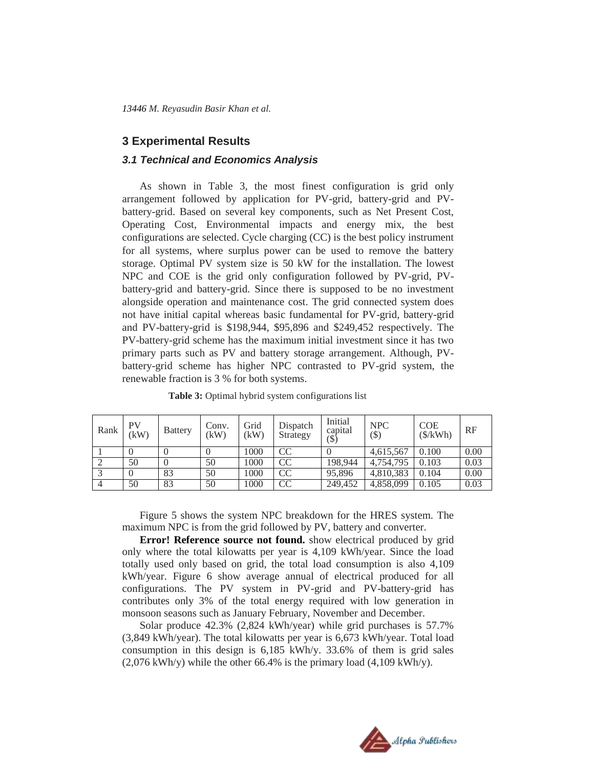### **3 Experimental Results**

### *3.1 Technical and Economics Analysis*

As shown in [Table 3,](#page-5-0) the most finest configuration is grid only arrangement followed by application for PV-grid, battery-grid and PVbattery-grid. Based on several key components, such as Net Present Cost, Operating Cost, Environmental impacts and energy mix, the best configurations are selected. Cycle charging (CC) is the best policy instrument for all systems, where surplus power can be used to remove the battery storage. Optimal PV system size is 50 kW for the installation. The lowest NPC and COE is the grid only configuration followed by PV-grid, PVbattery-grid and battery-grid. Since there is supposed to be no investment alongside operation and maintenance cost. The grid connected system does not have initial capital whereas basic fundamental for PV-grid, battery-grid and PV-battery-grid is \$198,944, \$95,896 and \$249,452 respectively. The PV-battery-grid scheme has the maximum initial investment since it has two primary parts such as PV and battery storage arrangement. Although, PVbattery-grid scheme has higher NPC contrasted to PV-grid system, the renewable fraction is 3 % for both systems.

<span id="page-5-0"></span>

| Rank | PV<br>ΈW | <b>Battery</b> | Conv.<br>(kW) | Grid<br>(kW) | Dispatch<br>Strategy | Initial<br>capital<br>(\$) | <b>NPC</b><br>(\$) | COE<br>$(\frac{1}{2}kWh)$ | RF   |
|------|----------|----------------|---------------|--------------|----------------------|----------------------------|--------------------|---------------------------|------|
|      |          |                |               | 1000         | CC                   |                            | 4,615,567          | 0.100                     | 0.00 |
|      | 50       |                | 50            | 1000         | <b>CC</b>            | 198,944                    | 4,754,795          | 0.103                     | 0.03 |
|      |          | 83             | 50            | 1000         | <b>CC</b>            | 95,896                     | 4,810,383          | 0.104                     | 0.00 |
|      | 50       | 83             | 50            | 1000         | CC                   | 249,452                    | 4,858,099          | 0.105                     | 0.03 |

Table 3: Optimal hybrid system configurations list

[Figure 5](#page-6-0) shows the system NPC breakdown for the HRES system. The maximum NPC is from the grid followed by PV, battery and converter.

**Error! Reference source not found.** show electrical produced by grid only where the total kilowatts per year is 4,109 kWh/year. Since the load totally used only based on grid, the total load consumption is also 4,109 kWh/year. [Figure](#page-7-0) 6 show average annual of electrical produced for all configurations. The PV system in PV-grid and PV-battery-grid has contributes only 3% of the total energy required with low generation in monsoon seasons such as January February, November and December.

Solar produce 42.3% (2,824 kWh/year) while grid purchases is 57.7% (3,849 kWh/year). The total kilowatts per year is 6,673 kWh/year. Total load consumption in this design is 6,185 kWh/y. 33.6% of them is grid sales  $(2,076 \text{ kWh/y})$  while the other 66.4% is the primary load  $(4,109 \text{ kWh/y})$ .

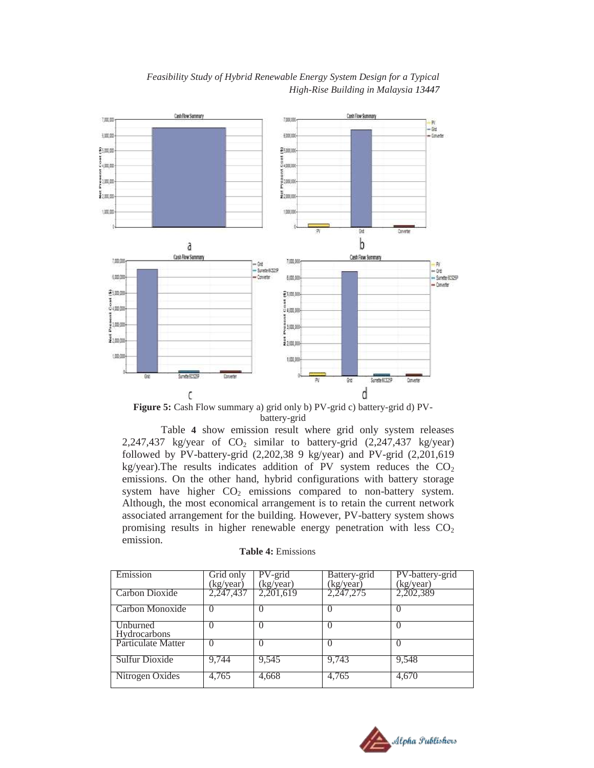



**Figure 5:** Cash Flow summary a) grid only b) PV-grid c) battery-grid d) PVbattery-grid

<span id="page-6-0"></span> [Table](#page-6-1) **4** show emission result where grid only system releases 2,247,437 kg/year of  $CO<sub>2</sub>$  similar to battery-grid (2,247,437 kg/year) followed by PV-battery-grid (2,202,38 9 kg/year) and PV-grid (2,201,619 kg/year). The results indicates addition of PV system reduces the  $CO<sub>2</sub>$ emissions. On the other hand, hybrid configurations with battery storage system have higher  $CO<sub>2</sub>$  emissions compared to non-battery system. Although, the most economical arrangement is to retain the current network associated arrangement for the building. However, PV-battery system shows promising results in higher renewable energy penetration with less  $CO<sub>2</sub>$ emission.

<span id="page-6-1"></span>

| Emission                        | Grid only<br>(kg/year) | PV-grid<br>(kg/year) | Battery-grid<br>(kg/year) | PV-battery-grid<br>(kg/year) |
|---------------------------------|------------------------|----------------------|---------------------------|------------------------------|
| Carbon Dioxide                  | 2,247,437              | 2,201,619            | 2,247,275                 | 2,202,389                    |
| Carbon Monoxide                 | $\left($               |                      |                           |                              |
| Unburned<br><b>Hydrocarbons</b> | $\left( \right)$       |                      |                           |                              |
| Particulate Matter              |                        |                      |                           |                              |
| Sulfur Dioxide                  | 9,744                  | 9,545                | 9,743                     | 9,548                        |
| Nitrogen Oxides                 | 4,765                  | 4,668                | 4,765                     | 4,670                        |

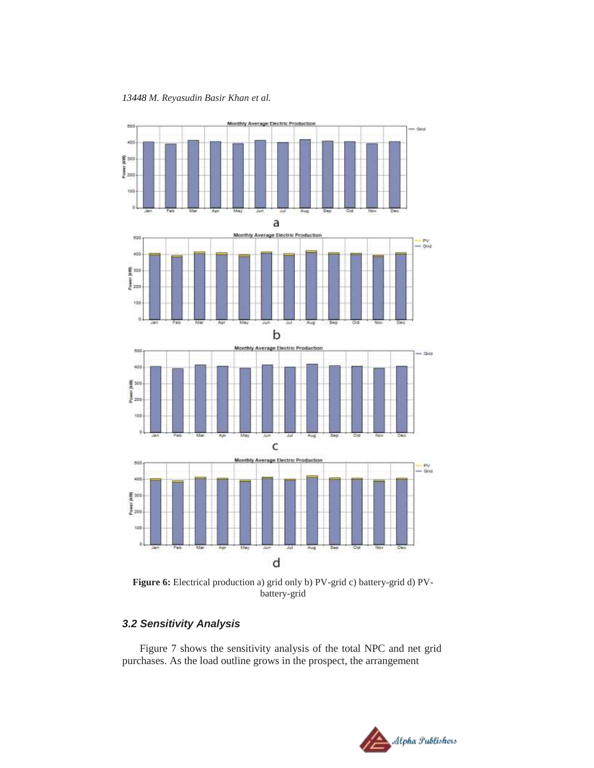*13448 M. Reyasudin Basir Khan et al.*



<span id="page-7-0"></span>**Figure 6:** Electrical production a) grid only b) PV-grid c) battery-grid d) PVbattery-grid

### *3.2 Sensitivity Analysis*

[Figure 7](#page-8-0) shows the sensitivity analysis of the total NPC and net grid purchases. As the load outline grows in the prospect, the arrangement

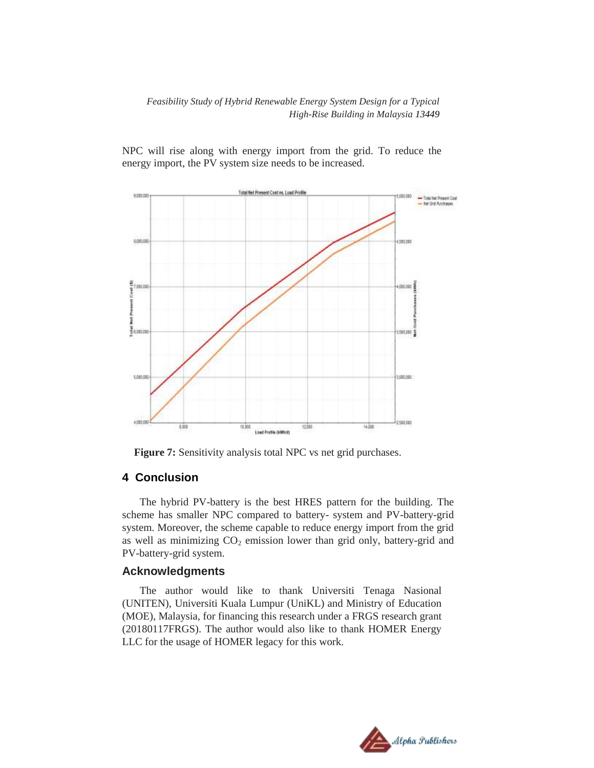NPC will rise along with energy import from the grid. To reduce the energy import, the PV system size needs to be increased.



**Figure 7:** Sensitivity analysis total NPC vs net grid purchases.

### <span id="page-8-0"></span>**4 Conclusion**

The hybrid PV-battery is the best HRES pattern for the building. The scheme has smaller NPC compared to battery- system and PV-battery-grid system. Moreover, the scheme capable to reduce energy import from the grid as well as minimizing  $CO<sub>2</sub>$  emission lower than grid only, battery-grid and PV-battery-grid system.

#### **Acknowledgments**

The author would like to thank Universiti Tenaga Nasional (UNITEN), Universiti Kuala Lumpur (UniKL) and Ministry of Education (MOE), Malaysia, for financing this research under a FRGS research grant (20180117FRGS). The author would also like to thank HOMER Energy LLC for the usage of HOMER legacy for this work.

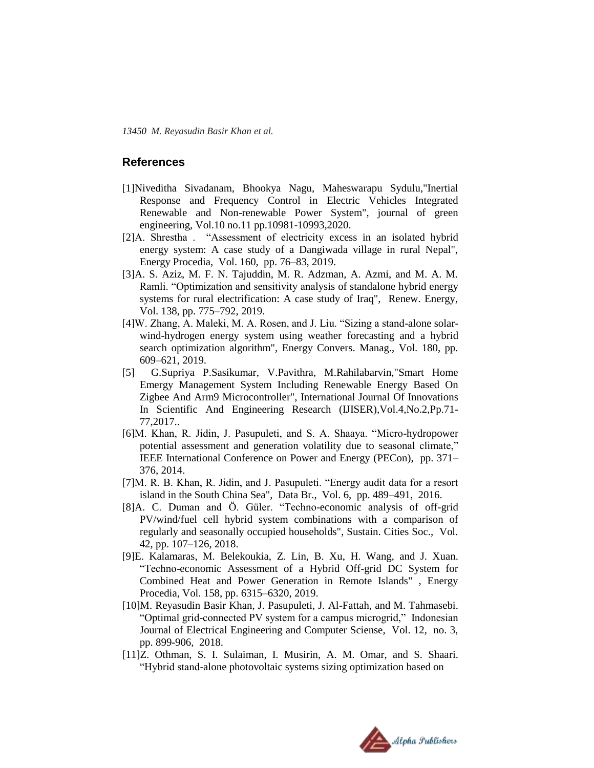*13450 M. Reyasudin Basir Khan et al.*

### **References**

- [1]Niveditha Sivadanam, Bhookya Nagu, Maheswarapu Sydulu,"Inertial Response and Frequency Control in Electric Vehicles Integrated Renewable and Non-renewable Power System", journal of green engineering, Vol.10 no.11 pp.10981-10993,2020.
- [2]A. Shrestha . "Assessment of electricity excess in an isolated hybrid energy system: A case study of a Dangiwada village in rural Nepal", Energy Procedia, Vol. 160, pp. 76–83, 2019.
- [3]A. S. Aziz, M. F. N. Tajuddin, M. R. Adzman, A. Azmi, and M. A. M. Ramli. "Optimization and sensitivity analysis of standalone hybrid energy systems for rural electrification: A case study of Iraq", Renew. Energy, Vol. 138, pp. 775–792, 2019.
- [4]W. Zhang, A. Maleki, M. A. Rosen, and J. Liu. "Sizing a stand-alone solarwind-hydrogen energy system using weather forecasting and a hybrid search optimization algorithm", Energy Convers. Manag., Vol. 180, pp. 609–621, 2019.
- [5] G.Supriya P.Sasikumar, V.Pavithra, M.Rahilabarvin,"Smart Home Emergy Management System Including Renewable Energy Based On Zigbee And Arm9 Microcontroller", International Journal Of Innovations In Scientific And Engineering Research (IJISER),Vol.4,No.2,Pp.71- 77,2017..
- [6]M. Khan, R. Jidin, J. Pasupuleti, and S. A. Shaaya. "Micro-hydropower potential assessment and generation volatility due to seasonal climate," IEEE International Conference on Power and Energy (PECon), pp. 371– 376, 2014.
- [7]M. R. B. Khan, R. Jidin, and J. Pasupuleti. "Energy audit data for a resort island in the South China Sea", Data Br., Vol. 6, pp. 489–491, 2016.
- [8]A. C. Duman and Ö. Güler. "Techno-economic analysis of off-grid PV/wind/fuel cell hybrid system combinations with a comparison of regularly and seasonally occupied households", Sustain. Cities Soc., Vol. 42, pp. 107–126, 2018.
- [9]E. Kalamaras, M. Belekoukia, Z. Lin, B. Xu, H. Wang, and J. Xuan. "Techno-economic Assessment of a Hybrid Off-grid DC System for Combined Heat and Power Generation in Remote Islands" , Energy Procedia, Vol. 158, pp. 6315–6320, 2019.
- [10]M. Reyasudin Basir Khan, J. Pasupuleti, J. Al-Fattah, and M. Tahmasebi. "Optimal grid-connected PV system for a campus microgrid," Indonesian Journal of Electrical Engineering and Computer Sciense, Vol. 12, no. 3, pp. 899-906, 2018.
- [11]Z. Othman, S. I. Sulaiman, I. Musirin, A. M. Omar, and S. Shaari. "Hybrid stand-alone photovoltaic systems sizing optimization based on